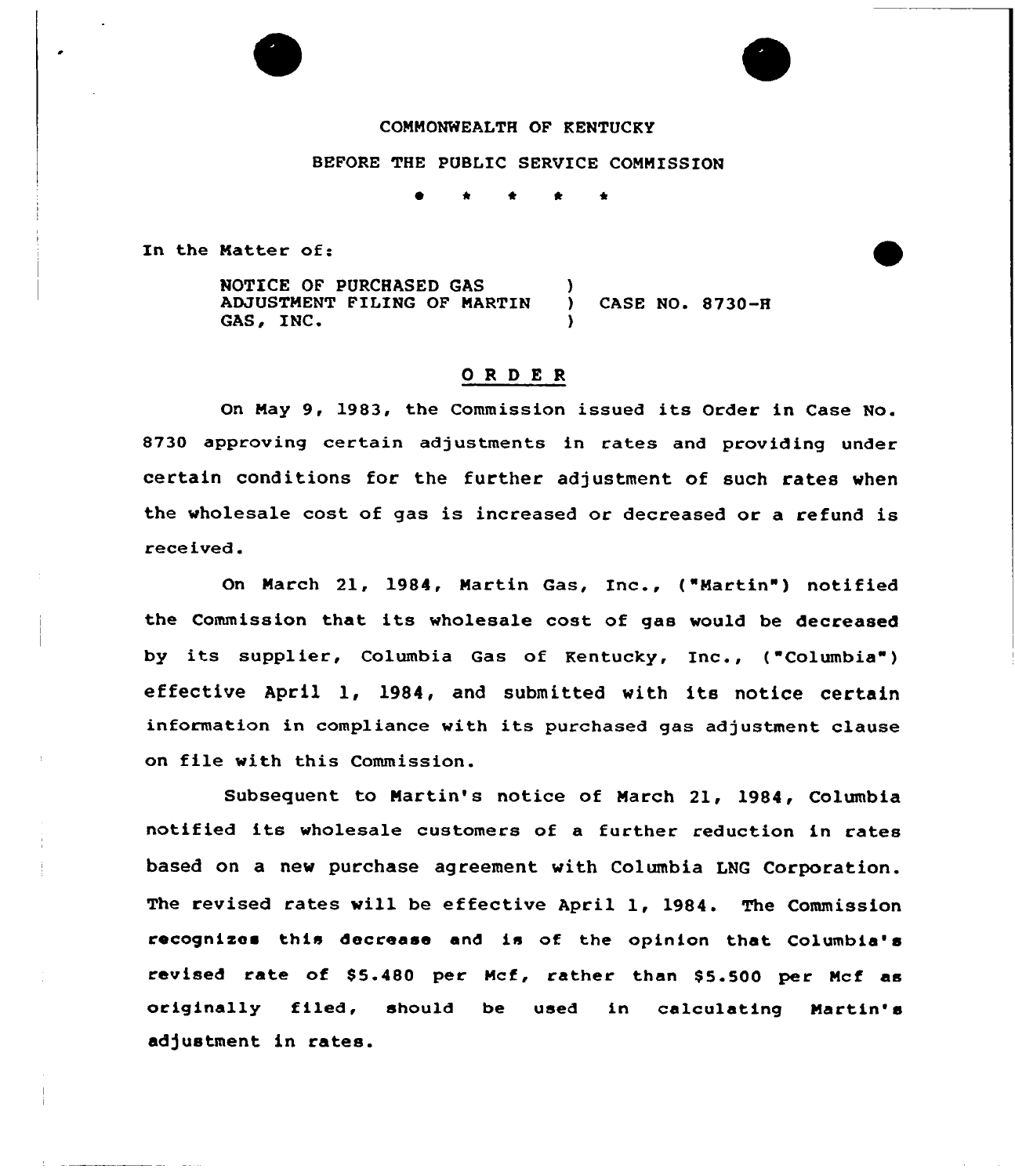# COMMONWEALTH OF KENTUCKY

#### BEFORE THE PUBLIC SERVICE COMMISSION

~ \* + \*

In the Matter of:

NOTICE OF PURCHASED GAS ADJUSTMENT FILING OF MARTIN GAS, INC. ) CASE NO. 8730-8

## ORDER

On May 9, 1983, the Commission issued its Order in Case No. 8730 approving certain adjustments in rates and providing under certain conditions for the further adjustment of such rates when the wholesale cost of gas is increased or decreased or a refund is received.

On March 21, 1984, Martin Gas, Inc., ("Martin") notified the Commission that its wholesale cost of gas would be decreased by its supplier, Columbia Gas of Kentucky, Inc., ("Columbia" ) effective April 1, 1984, and submitted with its notice certain information in compliance with its purchased gas adjustment clause on file with this Commission.

Subsequent to Martin's notice of March 21, 1984, Columbia notified its wholesale customers of <sup>a</sup> further reduction in rates based on a new purchase agreement with Columbia LNG Corporation. The revised rates will be effective April 1, 1984. The Commission recognixes this decrease and is of the opinion that Columbia's revised rate of \$5.480 per Mcf, rather than \$5.500 per Mcf as originally filed, should be used in calculating Martin' adjustment in rates.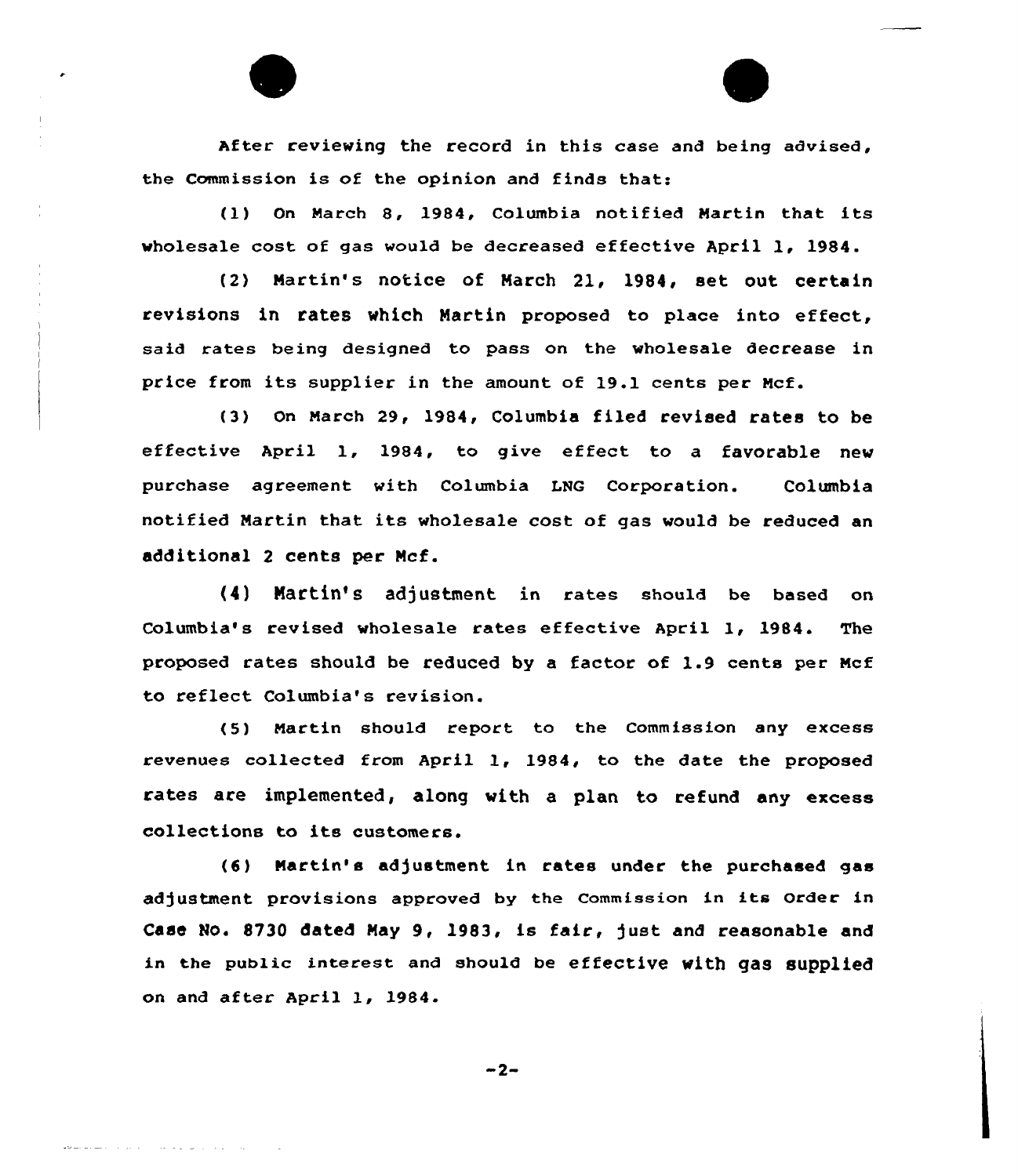After reviewing the record in this case and being advised, the Commission is of the opinion and finds that:

(1) On March 8, 1984, Columbia notified Martin that its wholesale cost of gas would be decreased effective April 1, 1984.

(2) Nartin's notice of Narch 21, l984, set out certain revisions in rates which Martin proposed to place into effect, said rates being designed to pass on the wholesale decrease in price from its supplier in the amount of 19.1 cents per Hcf.

(3) On March 29, 1984, Columbia filed revised rates to be effective April 1, 1984, to give effect to <sup>a</sup> favorable new purchase agreement with Columbia LNG Corporation. Columbia notified Martin that its wholesale cost of gas would be reduced an additional 2 cents per Ncf.

(4) Martin's adjustment in rates should be based on Columbia's revised wholesale rates effective April 1, 1984. The proposed rates should be reduced by <sup>a</sup> factor of 1.9 cents per Ncf to reflect Columbia's revision.

(5) Martin should report to the Commission any excess revenues collected from April 1, 1984, to the date the proposed rates are implemented, along with a plan to refund any excess collections to its customers.

(6) Martin's adjustment in rates under the purchased gas adjustment provisions approved by the Commission in its Order in Case No. 8730 dated May 9, 1983, is fair, just and reasonable and in the public interest and should be effective with gas supplied on and after April 1, 1984.

$$
-2-
$$

and an anti-service control of the service of the service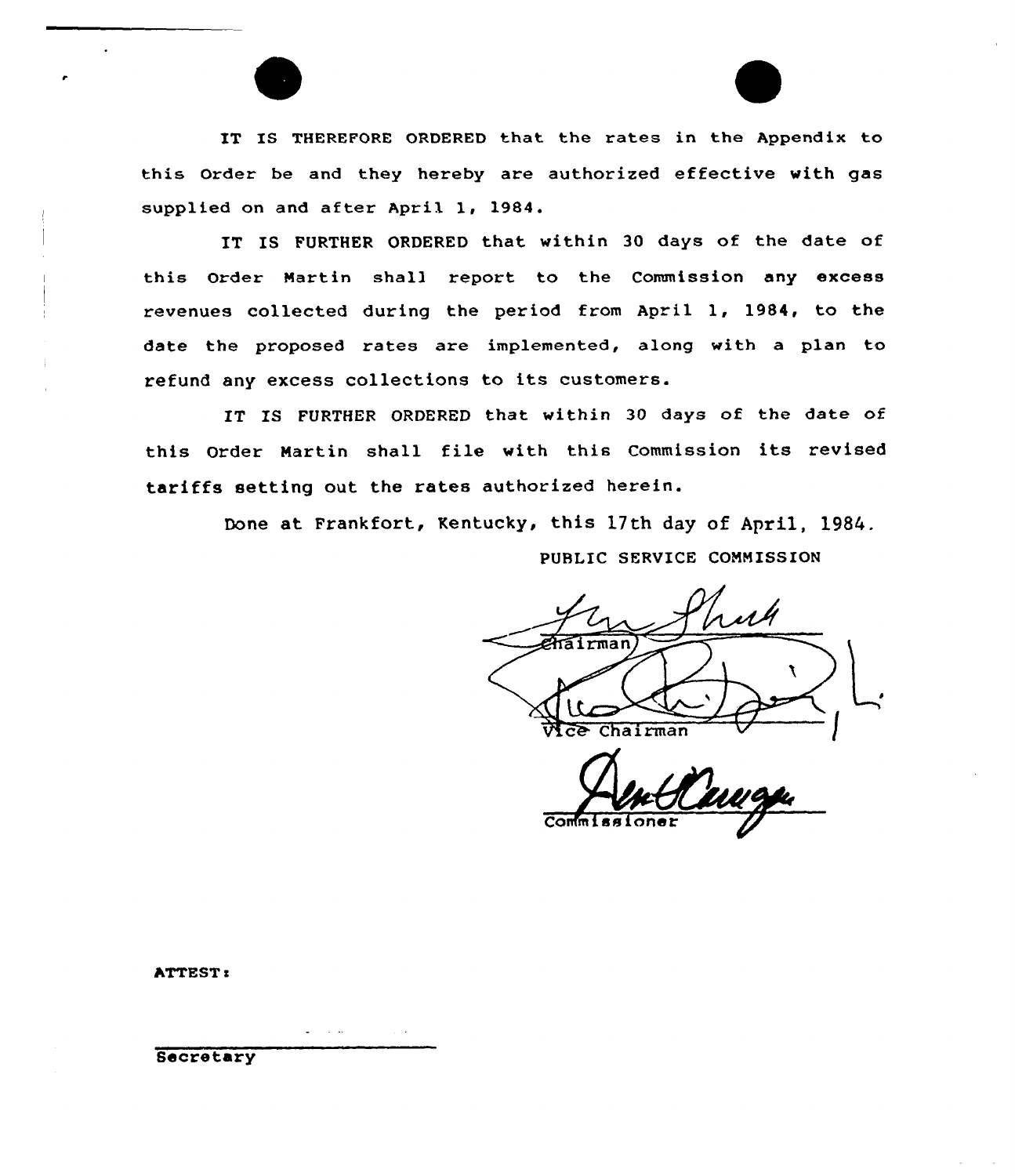IT IS THEREFORE ORDERED that the rates in the Appendix to this Order be and they hereby are authorized effective with gas supplied on and after April 1, 1984.

IT IS FURTHER ORDERED that within 30 days of the date of this Order Nartin shall report to the Commission any excess revenues collected during the period from April 1, 1984, to the date the proposed rates are implemented, along with a plan to refund any excess collections to its customers.

IT IS FURTHER ORDERED that within 30 days of the date of this Order Martin shall file with this Commission its revised tariffs setting out the rates authorized herein.

Done at Frankfort, Kentucky, this 17th day of April, 1984.

PUBLIC SERVICE CONNISSION

Chairman

Co

ATTEST:

Secretary